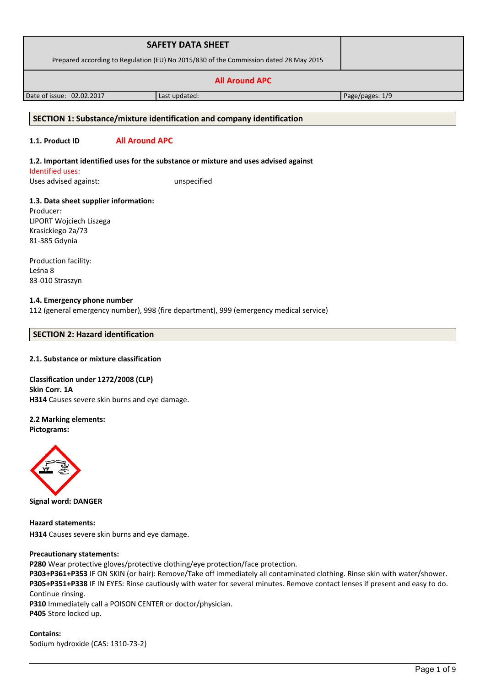| <b>SAFETY DATA SHEET</b>                                                              |  |
|---------------------------------------------------------------------------------------|--|
| Prepared according to Regulation (EU) No 2015/830 of the Commission dated 28 May 2015 |  |
| <b>All Around APC</b>                                                                 |  |

Date of issue: 02.02.2017 Last updated: Page/pages: 1/9

### **SECTION 1: Substance/mixture identification and company identification**

# **1.1. Product ID All Around APC**

**1.2. Important identified uses for the substance or mixture and uses advised against** Identified uses: Uses advised against: unspecified

**1.3. Data sheet supplier information:** Producer: LIPORT Wojciech Liszega Krasickiego 2a/73 81-385 Gdynia

Production facility: Leśna 8 83-010 Straszyn

#### **1.4. Emergency phone number** 112 (general emergency number), 998 (fire department), 999 (emergency medical service)

# **SECTION 2: Hazard identification**

### **2.1. Substance or mixture classification**

**Classification under 1272/2008 (CLP) Skin Corr. 1A H314** Causes severe skin burns and eye damage.

**2.2 Marking elements:**

**Pictograms:**



**Signal word: DANGER**

**Hazard statements: H314** Causes severe skin burns and eye damage.

### **Precautionary statements:**

**P280** Wear protective gloves/protective clothing/eye protection/face protection.

**P303+P361+P353** IF ON SKIN (or hair): Remove/Take off immediately all contaminated clothing. Rinse skin with water/shower. **P305+P351+P338** IF IN EYES: Rinse cautiously with water for several minutes. Remove contact lenses if present and easy to do. Continue rinsing.

**P310** Immediately call a POISON CENTER or doctor/physician. **P405** Store locked up.

**Contains:**  Sodium hydroxide (CAS: 1310-73-2)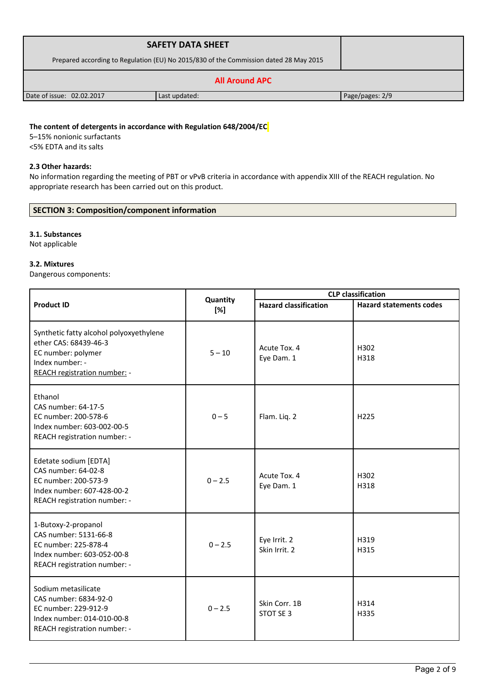|                                                                                       | <b>SAFETY DATA SHEET</b> |                 |
|---------------------------------------------------------------------------------------|--------------------------|-----------------|
| Prepared according to Regulation (EU) No 2015/830 of the Commission dated 28 May 2015 |                          |                 |
|                                                                                       |                          |                 |
| Date of issue: 02.02.2017                                                             | Last updated:            | Page/pages: 2/9 |

# **The content of detergents in accordance with Regulation 648/2004/EC**

5–15% nonionic surfactants <5% EDTA and its salts

### **2.3 Other hazards:**

No information regarding the meeting of PBT or vPvB criteria in accordance with appendix XIII of the REACH regulation. No appropriate research has been carried out on this product.

# **SECTION 3: Composition/component information**

#### **3.1. Substances**

Not applicable

## **3.2. Mixtures**

Dangerous components:

|                                                                                                                                           |                 | <b>CLP</b> classification     |                                |  |
|-------------------------------------------------------------------------------------------------------------------------------------------|-----------------|-------------------------------|--------------------------------|--|
| <b>Product ID</b>                                                                                                                         | Quantity<br>[%] | <b>Hazard classification</b>  | <b>Hazard statements codes</b> |  |
| Synthetic fatty alcohol polyoxyethylene<br>ether CAS: 68439-46-3<br>EC number: polymer<br>Index number: -<br>REACH registration number: - | $5 - 10$        | Acute Tox. 4<br>Eye Dam. 1    | H302<br>H318                   |  |
| Ethanol<br>CAS number: 64-17-5<br>EC number: 200-578-6<br>Index number: 603-002-00-5<br>REACH registration number: -                      | $0 - 5$         | Flam. Liq. 2                  | H <sub>225</sub>               |  |
| Edetate sodium [EDTA]<br>CAS number: 64-02-8<br>EC number: 200-573-9<br>Index number: 607-428-00-2<br>REACH registration number: -        | $0 - 2.5$       | Acute Tox. 4<br>Eye Dam. 1    | H302<br>H318                   |  |
| 1-Butoxy-2-propanol<br>CAS number: 5131-66-8<br>EC number: 225-878-4<br>Index number: 603-052-00-8<br>REACH registration number: -        | $0 - 2.5$       | Eye Irrit. 2<br>Skin Irrit. 2 | H319<br>H315                   |  |
| Sodium metasilicate<br>CAS number: 6834-92-0<br>EC number: 229-912-9<br>Index number: 014-010-00-8<br>REACH registration number: -        | $0 - 2.5$       | Skin Corr. 1B<br>STOT SE 3    | H314<br>H335                   |  |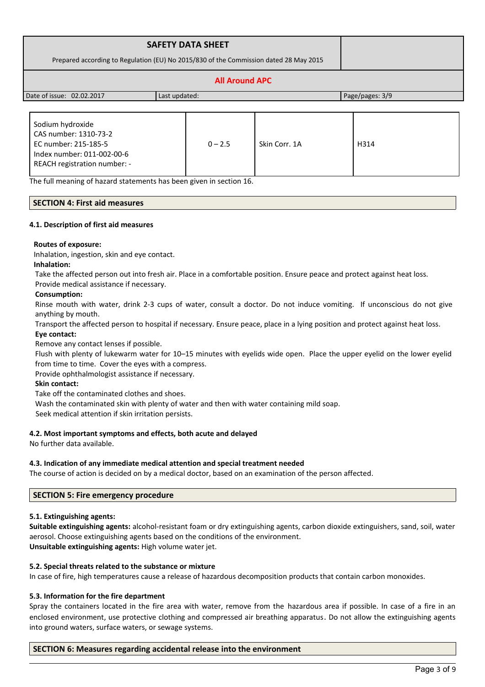|                                                                                       | <b>SAFETY DATA SHEET</b> |                 |
|---------------------------------------------------------------------------------------|--------------------------|-----------------|
| Prepared according to Regulation (EU) No 2015/830 of the Commission dated 28 May 2015 |                          |                 |
|                                                                                       |                          |                 |
| Date of issue: 02.02.2017                                                             | Last updated:            | Page/pages: 3/9 |

| Sodium hydroxide<br>CAS number: 1310-73-2<br>EC number: 215-185-5<br>Index number: 011-002-00-6<br>REACH registration number: - | $0 - 2.5$ | Skin Corr. 1A | H314 |
|---------------------------------------------------------------------------------------------------------------------------------|-----------|---------------|------|
|---------------------------------------------------------------------------------------------------------------------------------|-----------|---------------|------|

The full meaning of hazard statements has been given in section 16.

# **SECTION 4: First aid measures**

#### **4.1. Description of first aid measures**

#### **Routes of exposure:**

Inhalation, ingestion, skin and eye contact.

#### **Inhalation:**

Take the affected person out into fresh air. Place in a comfortable position. Ensure peace and protect against heat loss.

Provide medical assistance if necessary.

#### **Consumption:**

Rinse mouth with water, drink 2-3 cups of water, consult a doctor. Do not induce vomiting. If unconscious do not give anything by mouth.

Transport the affected person to hospital if necessary. Ensure peace, place in a lying position and protect against heat loss.

# **Eye contact:**

Remove any contact lenses if possible.

Flush with plenty of lukewarm water for 10–15 minutes with eyelids wide open. Place the upper eyelid on the lower eyelid from time to time. Cover the eyes with a compress.

Provide ophthalmologist assistance if necessary.

#### **Skin contact:**

Take off the contaminated clothes and shoes.

Wash the contaminated skin with plenty of water and then with water containing mild soap.

Seek medical attention if skin irritation persists.

#### **4.2. Most important symptoms and effects, both acute and delayed**

No further data available.

#### **4.3. Indication of any immediate medical attention and special treatment needed**

The course of action is decided on by a medical doctor, based on an examination of the person affected.

#### **SECTION 5: Fire emergency procedure**

#### **5.1. Extinguishing agents:**

**Suitable extinguishing agents:** alcohol-resistant foam or dry extinguishing agents, carbon dioxide extinguishers, sand, soil, water aerosol. Choose extinguishing agents based on the conditions of the environment. **Unsuitable extinguishing agents:** High volume water jet.

#### **5.2. Special threats related to the substance or mixture**

In case of fire, high temperatures cause a release of hazardous decomposition products that contain carbon monoxides.

### **5.3. Information for the fire department**

Spray the containers located in the fire area with water, remove from the hazardous area if possible. In case of a fire in an enclosed environment, use protective clothing and compressed air breathing apparatus. Do not allow the extinguishing agents into ground waters, surface waters, or sewage systems.

# **SECTION 6: Measures regarding accidental release into the environment**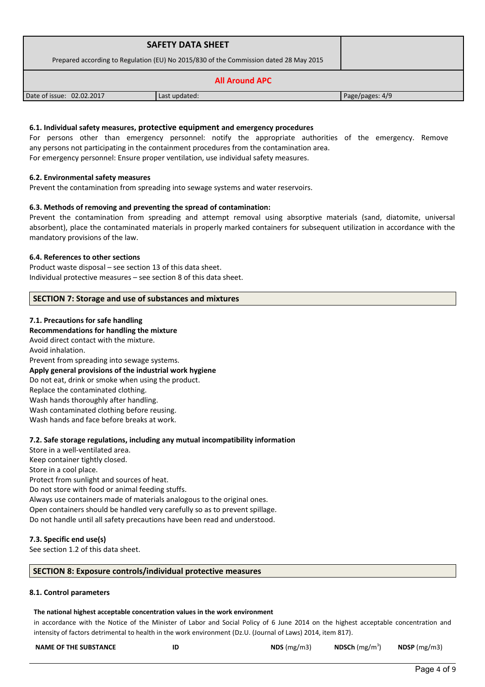|                                                                                       | <b>SAFETY DATA SHEET</b> |                 |
|---------------------------------------------------------------------------------------|--------------------------|-----------------|
| Prepared according to Regulation (EU) No 2015/830 of the Commission dated 28 May 2015 |                          |                 |
|                                                                                       |                          |                 |
| Date of issue: 02.02.2017                                                             | Last updated:            | Page/pages: 4/9 |

## **6.1. Individual safety measures, protective equipment and emergency procedures**

For persons other than emergency personnel: notify the appropriate authorities of the emergency. Remove any persons not participating in the containment procedures from the contamination area. For emergency personnel: Ensure proper ventilation, use individual safety measures.

# **6.2. Environmental safety measures**

Prevent the contamination from spreading into sewage systems and water reservoirs.

### **6.3. Methods of removing and preventing the spread of contamination:**

Prevent the contamination from spreading and attempt removal using absorptive materials (sand, diatomite, universal absorbent), place the contaminated materials in properly marked containers for subsequent utilization in accordance with the mandatory provisions of the law.

### **6.4. References to other sections**

Product waste disposal – see section 13 of this data sheet. Individual protective measures – see section 8 of this data sheet.

# **SECTION 7: Storage and use of substances and mixtures**

### **7.1. Precautions for safe handling**

## **Recommendations for handling the mixture**

Avoid direct contact with the mixture. Avoid inhalation. Prevent from spreading into sewage systems. **Apply general provisions of the industrial work hygiene**  Do not eat, drink or smoke when using the product. Replace the contaminated clothing. Wash hands thoroughly after handling. Wash contaminated clothing before reusing. Wash hands and face before breaks at work.

### **7.2. Safe storage regulations, including any mutual incompatibility information**

Store in a well-ventilated area. Keep container tightly closed. Store in a cool place. Protect from sunlight and sources of heat. Do not store with food or animal feeding stuffs. Always use containers made of materials analogous to the original ones. Open containers should be handled very carefully so as to prevent spillage. Do not handle until all safety precautions have been read and understood.

### **7.3. Specific end use(s)**

See section 1.2 of this data sheet.

### **SECTION 8: Exposure controls/individual protective measures**

### **8.1. Control parameters**

#### **The national highest acceptable concentration values in the work environment**

in accordance with the Notice of the Minister of Labor and Social Policy of 6 June 2014 on the highest acceptable concentration and intensity of factors detrimental to health in the work environment (Dz.U. (Journal of Laws) 2014, item 817).

| <b>NAME OF THE SUBSTANCE</b> | ID | NDS $(mg/m3)$ | <b>NDSCh</b> ( $mg/m3$ ) | NDSP (mg/m3) |
|------------------------------|----|---------------|--------------------------|--------------|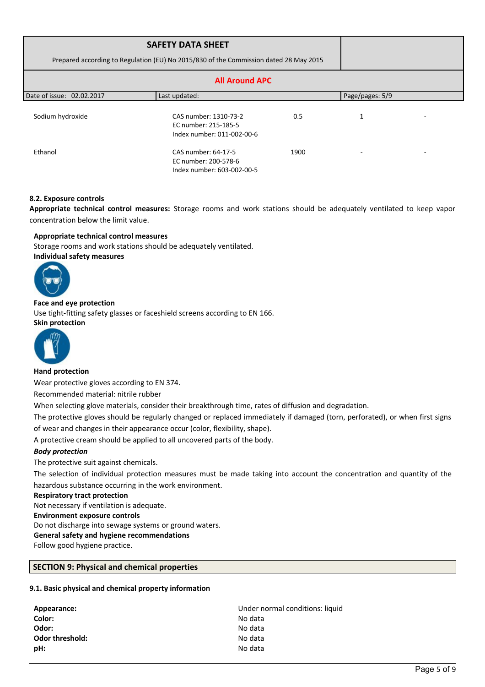| Prepared according to Regulation (EU) No 2015/830 of the Commission dated 28 May 2015 |                                                                             |      |                 |  |
|---------------------------------------------------------------------------------------|-----------------------------------------------------------------------------|------|-----------------|--|
|                                                                                       | <b>All Around APC</b>                                                       |      |                 |  |
| Date of issue: 02.02.2017                                                             | Last updated:                                                               |      | Page/pages: 5/9 |  |
| Sodium hydroxide                                                                      | CAS number: 1310-73-2<br>EC number: 215-185-5<br>Index number: 011-002-00-6 | 0.5  | 1               |  |
| Ethanol                                                                               | CAS number: 64-17-5<br>EC number: 200-578-6<br>Index number: 603-002-00-5   | 1900 |                 |  |

# **8.2. Exposure controls**

**Appropriate technical control measures:** Storage rooms and work stations should be adequately ventilated to keep vapor concentration below the limit value.

# **Appropriate technical control measures**

Storage rooms and work stations should be adequately ventilated. **Individual safety measures** 



# **Face and eye protection**

Use tight-fitting safety glasses or faceshield screens according to EN 166. **Skin protection** 



### **Hand protection**

Wear protective gloves according to EN 374.

Recommended material: nitrile rubber

When selecting glove materials, consider their breakthrough time, rates of diffusion and degradation.

The protective gloves should be regularly changed or replaced immediately if damaged (torn, perforated), or when first signs of wear and changes in their appearance occur (color, flexibility, shape).

A protective cream should be applied to all uncovered parts of the body.

### *Body protection*

The protective suit against chemicals.

The selection of individual protection measures must be made taking into account the concentration and quantity of the hazardous substance occurring in the work environment.

#### **Respiratory tract protection**

Not necessary if ventilation is adequate.

**Environment exposure controls** 

Do not discharge into sewage systems or ground waters.

### **General safety and hygiene recommendations**

Follow good hygiene practice.

# **SECTION 9: Physical and chemical properties**

### **9.1. Basic physical and chemical property information**

| Appearance:     | Under normal conditions: liquid |
|-----------------|---------------------------------|
| Color:          | No data                         |
| Odor:           | No data                         |
| Odor threshold: | No data                         |
| pH:             | No data                         |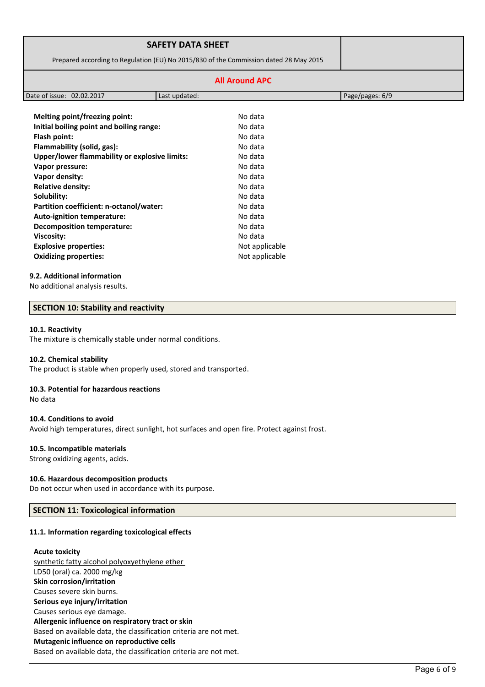|                                               | <b>SAFETY DATA SHEET</b>                |                                                                                       |                 |
|-----------------------------------------------|-----------------------------------------|---------------------------------------------------------------------------------------|-----------------|
|                                               |                                         | Prepared according to Regulation (EU) No 2015/830 of the Commission dated 28 May 2015 |                 |
|                                               |                                         | <b>All Around APC</b>                                                                 |                 |
| Date of issue: 02.02.2017                     | Last updated:                           |                                                                                       | Page/pages: 6/9 |
| Melting point/freezing point:                 |                                         | No data                                                                               |                 |
| Initial boiling point and boiling range:      |                                         | No data                                                                               |                 |
| Flash point:                                  |                                         |                                                                                       |                 |
| Flammability (solid, gas):                    |                                         | No data                                                                               |                 |
| Upper/lower flammability or explosive limits: |                                         | No data                                                                               |                 |
| Vapor pressure:                               |                                         | No data                                                                               |                 |
| Vapor density:                                |                                         | No data                                                                               |                 |
| <b>Relative density:</b>                      |                                         | No data                                                                               |                 |
| Solubility:                                   |                                         | No data                                                                               |                 |
|                                               | Partition coefficient: n-octanol/water: |                                                                                       |                 |
| <b>Auto-ignition temperature:</b>             |                                         | No data                                                                               |                 |
| <b>Decomposition temperature:</b>             |                                         | No data                                                                               |                 |
| Viscosity:                                    |                                         | No data                                                                               |                 |
| <b>Explosive properties:</b>                  |                                         | Not applicable                                                                        |                 |

#### **9.2. Additional information**

No additional analysis results.

#### **SECTION 10: Stability and reactivity**

#### **10.1. Reactivity**

The mixture is chemically stable under normal conditions.

#### **10.2. Chemical stability**

The product is stable when properly used, stored and transported.

**Oxidizing properties:** Not applicable

#### **10.3. Potential for hazardous reactions**

No data

#### **10.4. Conditions to avoid**

Avoid high temperatures, direct sunlight, hot surfaces and open fire. Protect against frost.

#### **10.5. Incompatible materials**

Strong oxidizing agents, acids.

#### **10.6. Hazardous decomposition products**

Do not occur when used in accordance with its purpose.

#### **SECTION 11: Toxicological information**

### **11.1. Information regarding toxicological effects**

#### **Acute toxicity**

synthetic fatty alcohol polyoxyethylene ether LD50 (oral) ca. 2000 mg/kg **Skin corrosion/irritation** Causes severe skin burns. **Serious eye injury/irritation** Causes serious eye damage. **Allergenic influence on respiratory tract or skin** Based on available data, the classification criteria are not met. **Mutagenic influence on reproductive cells** Based on available data, the classification criteria are not met.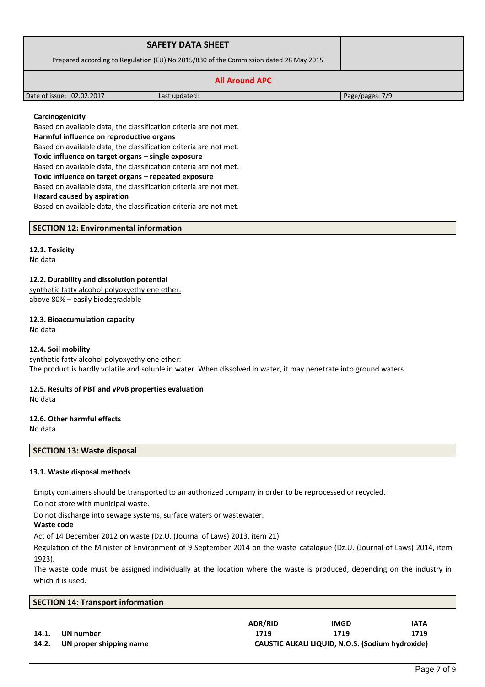| <b>SAFETY DATA SHEET</b>                                                              |               |                 |
|---------------------------------------------------------------------------------------|---------------|-----------------|
| Prepared according to Regulation (EU) No 2015/830 of the Commission dated 28 May 2015 |               |                 |
|                                                                                       |               |                 |
| Date of issue: 02.02.2017                                                             | Last updated: | Page/pages: 7/9 |

## **Carcinogenicity**

Based on available data, the classification criteria are not met. **Harmful influence on reproductive organs** Based on available data, the classification criteria are not met. **Toxic influence on target organs – single exposure** Based on available data, the classification criteria are not met. **Toxic influence on target organs – repeated exposure** Based on available data, the classification criteria are not met. **Hazard caused by aspiration**

Based on available data, the classification criteria are not met.

**SECTION 12: Environmental information**

### **12.1. Toxicity**

No data

#### **12.2. Durability and dissolution potential**

synthetic fatty alcohol polyoxyethylene ether: above 80% – easily biodegradable

### **12.3. Bioaccumulation capacity**

No data

### **12.4. Soil mobility**

synthetic fatty alcohol polyoxyethylene ether: The product is hardly volatile and soluble in water. When dissolved in water, it may penetrate into ground waters.

# **12.5. Results of PBT and vPvB properties evaluation**

No data

### **12.6. Other harmful effects**

No data

# **SECTION 13: Waste disposal**

### **13.1. Waste disposal methods**

Empty containers should be transported to an authorized company in order to be reprocessed or recycled.

Do not store with municipal waste.

Do not discharge into sewage systems, surface waters or wastewater.

### **Waste code**

Act of 14 December 2012 on waste (Dz.U. (Journal of Laws) 2013, item 21).

Regulation of the Minister of Environment of 9 September 2014 on the waste catalogue (Dz.U. (Journal of Laws) 2014, item 1923).

The waste code must be assigned individually at the location where the waste is produced, depending on the industry in which it is used.

|       | <b>SECTION 14: Transport information</b> |                                                  |             |             |  |  |
|-------|------------------------------------------|--------------------------------------------------|-------------|-------------|--|--|
|       |                                          | <b>ADR/RID</b>                                   | <b>IMGD</b> | <b>IATA</b> |  |  |
| 14.1. | UN number                                | 1719                                             | 1719        | 1719        |  |  |
| 14.2. | UN proper shipping name                  | CAUSTIC ALKALI LIQUID, N.O.S. (Sodium hydroxide) |             |             |  |  |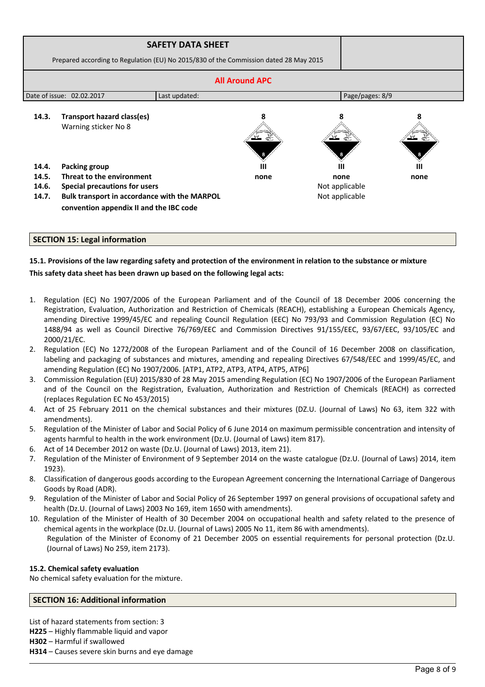|                                            | Prepared according to Regulation (EU) No 2015/830 of the Commission dated 28 May 2015                                                                        | <b>SAFETY DATA SHEET</b> |                 |                                          |      |  |
|--------------------------------------------|--------------------------------------------------------------------------------------------------------------------------------------------------------------|--------------------------|-----------------|------------------------------------------|------|--|
| <b>All Around APC</b>                      |                                                                                                                                                              |                          |                 |                                          |      |  |
| Date of issue: 02.02.2017<br>Last updated: |                                                                                                                                                              |                          | Page/pages: 8/9 |                                          |      |  |
| 14.3.                                      | Transport hazard class(es)<br>Warning sticker No 8                                                                                                           |                          |                 |                                          |      |  |
| 14.4.                                      | <b>Packing group</b>                                                                                                                                         |                          | Ш               | ш                                        | Ш    |  |
| 14.5.<br>14.6.<br>14.7.                    | Threat to the environment<br><b>Special precautions for users</b><br>Bulk transport in accordance with the MARPOL<br>convention appendix II and the IBC code |                          | none            | none<br>Not applicable<br>Not applicable | none |  |

# **15.1. Provisions of the law regarding safety and protection of the environment in relation to the substance or mixture This safety data sheet has been drawn up based on the following legal acts:**

- 1. Regulation (EC) No 1907/2006 of the European Parliament and of the Council of 18 December 2006 concerning the Registration, Evaluation, Authorization and Restriction of Chemicals (REACH), establishing a European Chemicals Agency, amending Directive 1999/45/EC and repealing Council Regulation (EEC) No 793/93 and Commission Regulation (EC) No 1488/94 as well as Council Directive 76/769/EEC and Commission Directives 91/155/EEC, 93/67/EEC, 93/105/EC and 2000/21/EC.
- 2. Regulation (EC) No 1272/2008 of the European Parliament and of the Council of 16 December 2008 on classification, labeling and packaging of substances and mixtures, amending and repealing Directives 67/548/EEC and 1999/45/EC, and amending Regulation (EC) No 1907/2006. [ATP1, ATP2, ATP3, ATP4, ATP5, ATP6]
- 3. Commission Regulation (EU) 2015/830 of 28 May 2015 amending Regulation (EC) No 1907/2006 of the European Parliament and of the Council on the Registration, Evaluation, Authorization and Restriction of Chemicals (REACH) as corrected (replaces Regulation EC No 453/2015)
- 4. Act of 25 February 2011 on the chemical substances and their mixtures (DZ.U. (Journal of Laws) No 63, item 322 with amendments).
- 5. Regulation of the Minister of Labor and Social Policy of 6 June 2014 on maximum permissible concentration and intensity of agents harmful to health in the work environment (Dz.U. (Journal of Laws) item 817).
- 6. Act of 14 December 2012 on waste (Dz.U. (Journal of Laws) 2013, item 21).
- 7. Regulation of the Minister of Environment of 9 September 2014 on the waste catalogue (Dz.U. (Journal of Laws) 2014, item 1923).
- 8. Classification of dangerous goods according to the European Agreement concerning the International Carriage of Dangerous Goods by Road (ADR).
- 9. Regulation of the Minister of Labor and Social Policy of 26 September 1997 on general provisions of occupational safety and health (Dz.U. (Journal of Laws) 2003 No 169, item 1650 with amendments).
- 10. Regulation of the Minister of Health of 30 December 2004 on occupational health and safety related to the presence of chemical agents in the workplace (Dz.U. (Journal of Laws) 2005 No 11, item 86 with amendments). Regulation of the Minister of Economy of 21 December 2005 on essential requirements for personal protection (Dz.U. (Journal of Laws) No 259, item 2173).

### **15.2. Chemical safety evaluation**

No chemical safety evaluation for the mixture.

### **SECTION 16: Additional information**

List of hazard statements from section: 3

**H225** – Highly flammable liquid and vapor

**H302** – Harmful if swallowed

**H314** – Causes severe skin burns and eye damage